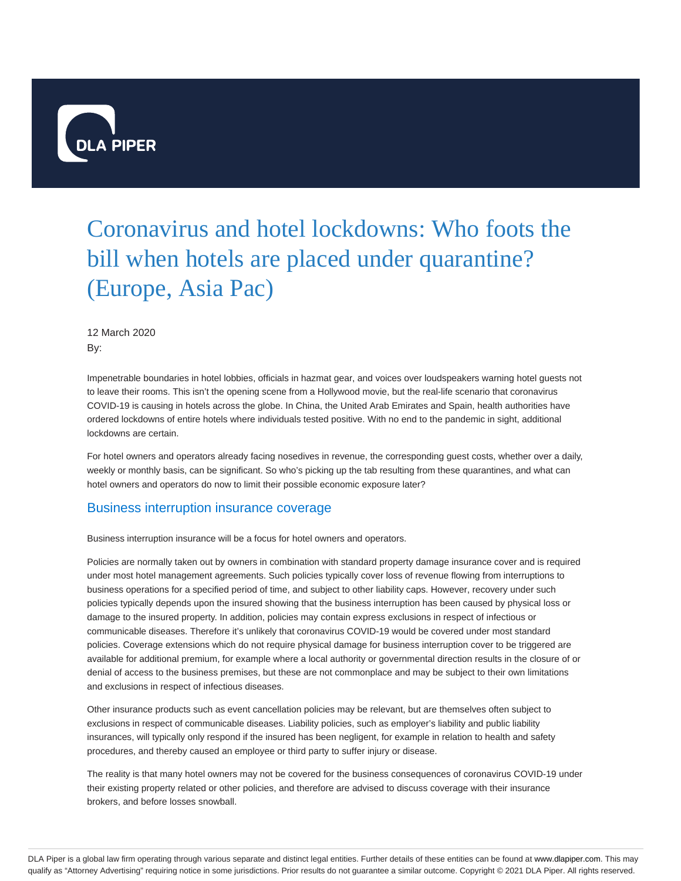

# Coronavirus and hotel lockdowns: Who foots the bill when hotels are placed under quarantine? (Europe, Asia Pac)

12 March 2020 By:

Impenetrable boundaries in hotel lobbies, officials in hazmat gear, and voices over loudspeakers warning hotel guests not to leave their rooms. This isn't the opening scene from a Hollywood movie, but the real-life scenario that coronavirus COVID-19 is causing in hotels across the globe. In China, the United Arab Emirates and Spain, health authorities have ordered lockdowns of entire hotels where individuals tested positive. With no end to the pandemic in sight, additional lockdowns are certain.

For hotel owners and operators already facing nosedives in revenue, the corresponding guest costs, whether over a daily, weekly or monthly basis, can be significant. So who's picking up the tab resulting from these quarantines, and what can hotel owners and operators do now to limit their possible economic exposure later?

### Business interruption insurance coverage

Business interruption insurance will be a focus for hotel owners and operators.

Policies are normally taken out by owners in combination with standard property damage insurance cover and is required under most hotel management agreements. Such policies typically cover loss of revenue flowing from interruptions to business operations for a specified period of time, and subject to other liability caps. However, recovery under such policies typically depends upon the insured showing that the business interruption has been caused by physical loss or damage to the insured property. In addition, policies may contain express exclusions in respect of infectious or communicable diseases. Therefore it's unlikely that coronavirus COVID-19 would be covered under most standard policies. Coverage extensions which do not require physical damage for business interruption cover to be triggered are available for additional premium, for example where a local authority or governmental direction results in the closure of or denial of access to the business premises, but these are not commonplace and may be subject to their own limitations and exclusions in respect of infectious diseases.

Other insurance products such as event cancellation policies may be relevant, but are themselves often subject to exclusions in respect of communicable diseases. Liability policies, such as employer's liability and public liability insurances, will typically only respond if the insured has been negligent, for example in relation to health and safety procedures, and thereby caused an employee or third party to suffer injury or disease.

The reality is that many hotel owners may not be covered for the business consequences of coronavirus COVID-19 under their existing property related or other policies, and therefore are advised to discuss coverage with their insurance brokers, and before losses snowball.